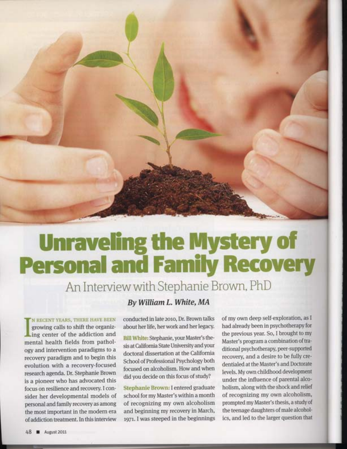

## **Unraveling the Mystery of<br>Personal and Family Recovery**

An Interview with Stephanie Brown, PhD

**N RECENT YEARS, THERE HAVE BEEN** growing calls to shift the organiz-Ling center of the addiction and mental health fields from pathology and intervention paradigms to a recovery paradigm and to begin this evolution with a recovery-focused research agenda. Dr. Stephanie Brown is a pioneer who has advocated this focus on resilience and recovery. I consider her developmental models of personal and family recovery as among the most important in the modern era of addiction treatment. In this interview

## By William L. White, MA

conducted in late 2010, Dr. Brown talks about her life, her work and her legacy.

Bill White: Stephanie, your Master's thesis at California State University and your doctoral dissertation at the California School of Professional Psychology both focused on alcoholism. How and when did you decide on this focus of study?

Stephanie Brown: I entered graduate school for my Master's within a month of recognizing my own alcoholism and beginning my recovery in March, 1971. I was steeped in the beginnings

of my own deep self-exploration, as I had already been in psychotherapy for the previous year. So, I brought to my Master's program a combination of traditional psychotherapy, peer-supported recovery, and a desire to be fully credentialed at the Master's and Doctorate levels. My own childhood development under the influence of parental alcoholism, along with the shock and relief of recognizing my own alcoholism, prompted my Master's thesis, a study of the teenage daughters of male alcoholics, and led to the larger question that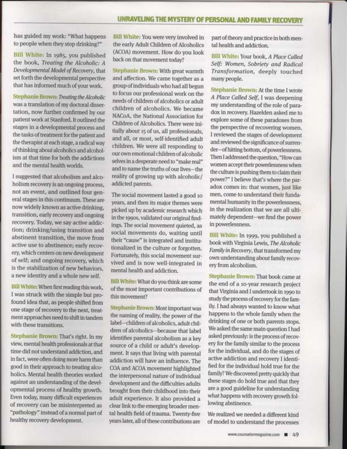has guided mywork: "What happens to people when they stop drinking?"

Sill White; In 1985, you published the book, Treating the Alcoholic: A Developmental Model of Recovery, that set forth the developmental perspective that has irtformed much of yourwork.

Stephanie Brown: Treating the Alcoholic was a translation of my doctoral dissertation, now further confirmed by our patient work at Stanford. It outlined the stages in a developmental process and the tasks of treatment for the patient and the therapist at each stage, a radical way of thinking about alcoholics and alcoholism at that time for both the addictions and the mental health worlds.

I suggested that alcoholism and alcoholism recovery is an ongoing process, not an event, and outlined four general stages in this continuum. These are now widely known as active drinking, transition, early recovery and ongoing recovery. Today, we say active addiction; drinking/using transition and abstinent transition, the move from active use to abstinence; early recovery, which centers on new development of self; and ongoing recovery, which is the stabilization of new behaviors, a new identity and a whole new self.

Eill White: \Mhen first reading this work, I was struck with the simple but profound idea that, as people shifted from one stage of recovery to the next, treatment approaches need to shift in tandem with these transitions.

Stephanie Brown: That's right. In my view, mental health professionals at that time did not understand addiction, and in fact, were often doing more harm than good in their approach to treating alcoholics. Mental health theories worked against an understanding of the developmental process of healthy growth. Even today, many difficult experiences of recovery can be misinterpreted as "pathology" instead of a normal part of healthy recovery development.

Bill White: You were very involved in the early Adult Children of Alcoholics (ACOA) movement. How do you look back on that movement today?

Stephanie Brown: With great warmth and affection. We came together as a group of individuals who had all begun to focus our professional work on the needs of children of alcoholics or adult children of alcoholics. We became NACoA, the National Association for Children of Alcoholics. There were ini tially about 15 of us, all professionals, and all, or most, self-identified adult children. We were all responding to ourown emotional children of alcoholic selves in a desperate need to "make real" and to name the truths of our lives-the reality of growing up with alcoholic/ addicted parents.

The social movement lasted a good ro years, and then its major themes were picked up by academic research which inthe r99os, validated our original findings. The social movement quieted, as social movements do, waiting until their "cause" is integrated and institutionalized in the culture or forgotten. Fortunately, this social movement survived and is now well-integrated in mental health and addiction.

Bill White: What do you think are some of the most important contributions of this movement?

Stephanie Brown; Most important was the naming of reality, the power of the label-children of alcoholics, adult children of alcoholics-because that label identifies parental alcoholism as a key source of a child or adult's development. It says that living with parental addiction will have an influence. The COA and ACOA movement highlighted the interpersonal nature of individual development and the difficulties adults brought from their childhood into their adult experience. It also provided a clear link to the emerging broader mental health fleld of trauma. Twenty-five years later, all of these contributions are

part of theory and practice in both mental health and addiction.

**Bill White: Your book, A Place Called** Self: Women, Sobriety and Radical Transformafion, deeply touched manypeople.

Stephamie Srown: At the time I wrote A Place Called Sef, I was deepening my understanding of the role of paradox in recovery. Hazelden asked me to explore some of these paradoxes from the perspective of recovering women. I reviewed the stages of development and reviewed the significance of surrender-of hitting bottom, of powerlessness. Then I addressed the question, "How can women accept their powerlessness when the culture is pushing them to claim their power?" I believe that's where the paradox comes in: that women, just like men, come to understand their fundamental humanity in the powerlessness, in the realization that we are all ulti mately dependent-we find the power in powerlessness. '

Bill White: In 1999, you published a bookwith Virginia Lewis, The Alcoholic Family in Recovery, that transformed my own understanding about family recovery from alcoholism.

Stephanie Brown: That book came at the end of a ro-year research project that Virginia and I undertook in 1990 to study the process of recovery for the family. I had always wanted to knowwhat happens to the whole family when the drinking of one or both parents stops. We asked the same main question I had asked previously: is the process ofrecovery for the family similar to the process for the individual, and do the stages of active addiction and recovery I identified for the individual hold true for the family? We discovered pretty quickly that these stages do hold true and that they are a good guideline for understanding what happens with recovery growth following abstinence.

We realized we needed a different kind of model to understand the processes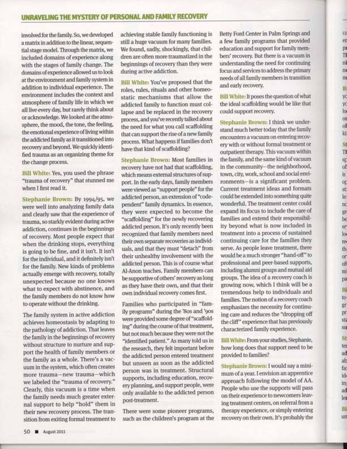involved for the family. So, we developed a matrix in addition to the linear, sequential stage model. Through the matrix, we included domains of experience along with the stages of family change. The domains of experience allowed us to look at the environment and family system in addition to individual experience. The environment includes the context and atmosphere of family life in which we all live every day, but rarely think about or acknowledge. We looked at the atmosphere, the mood, the tone, the feeling, the emotional experience of living within the addicted family as it transitioned into recovery and beyond. We quickly identified trauma as an organizing theme for the change process.

Bill White: Yes, you used the phrase "trauma of recovery" that stunned me when I first read it.

Stephanie Brown: By 1994/95, we were well into analyzing family data and clearly saw that the experience of trauma, so starkly evident during active addiction, continues in the beginnings of recovery. Most people expect that when the drinking stops, everything is going to be fine, and it isn't. It isn't for the individual, and it definitely isn't for the family. New kinds of problems actually emerge with recovery, totally unexpected because no one knows what to expect with abstinence, and the family members do not know how to operate without the drinking.

The family system in active addiction achieves homeostasis by adapting to the pathology of addiction. That leaves the family in the beginnings of recovery without structure to nurture and support the health of family members or the family as a whole. There's a vacuum in the system, which often creates more trauma-new trauma-which we labeled the "trauma of recovery." Clearly, this vacuum is a time when the family needs much greater external support to help "hold" them in their new recovery process. The transition from exiting formal treatment to achieving stable family functioning is still a huge vacuum for many families. We found, sadly, shockingly, that children are often more traumatized in the beginnings of recovery than they were during active addiction.

Bill White: You've proposed that the roles, rules, rituals and other homeostatic mechanisms that allow the addicted family to function must collapse and be replaced in the recovery process, and you've recenfly talked about the need for what you call scaffolding that can support the rise of a new family process. \Mhat happens if families don't have that kind of scaffolding?

Stephanie Brown: Most families in recovery have not had that scaffolding, which means external structures of support. In the early days, family members were viewed as "support people" for the addicted person, an extension of "codependent" family dynamics. In essence, they were expected to become the "scaffolding" for the newly recovering addicted person. It's only recently been recognized that family members need their own separate recoveries as individuals, and that they must "detach" from their unhealthy involvement with the addicted person. This is of course what Al-Anon teaches. Family members can be supportive of others' recovery as long as they have their own, and that their own individual recovery comes first.

Families who participated in "family programs" during the '8os and '9os were provided some degree of "scaffolding" during the course of that treatment, but not much because they were not the "identifled patient." As many told us in the research, they felt important before the addicted person entered treatment but unseen as soon as the addicted person was in treatment. Structural supports, including education, recovery planning, and support people, were only available to the addicted person post-treatment.

There were some pioneer programs, such as the children's program at the Betty Ford Center in Palm Springs and a few family programs that provided education and support for familymembers' recovery. But there is a vacuum in understanding the need for continuing focus and services to address the primary needs of all family members in transition and early recovery.

C<sub>2</sub> er p1 Ti ni  $n$ m1 tsi yc yc lo, OI of ki 5t TT sp of  $\mathbf{\bar{s}}$ op st ler n0 frt D^. be en lor re( th or oft mi pa si to gri pr  $sti$ SU, sr, tel ad ab far idt int ad ler Hll un

Bill White: It poses the question of what the ideal scaffolding would be like that could support recovery.

Stephanie Brown: I think we understand much better today that the family encounters a vacuum on entering recoverywith orwithout formal treatment or outpatient therapy. This vacuum within the family, and the same kind of vacuum in the community-the neighborhood, town, city, work, school and social environments-is a significant problem. Current treatment ideas and formats could be extended into something quite wonderful. The treatment center could expand its focus to include the care of families and extend their responsibility beyond what is now included in treatment into a process of sustained continuing care for the families they serve. As people leave treatment, there would be a much stronger "hand-off" to professional and peer-based supports, including alumni groups and mutual aid groups. The idea of a recovery coach is growing now, which I think will be a tremendous help to individuals and families. The notion of a recovery coach emphasizes the necessity for continuing care and reduces the "dropping off the cliff" experience that has previously characterized family experience.

Bill White: From your studies, Stephanie, how long does that support need to be provided to families?

Stephanie Brown: I would say a minimum of ayear. I envision an apprentice approach following the model of AA. People who use the supports will pass on their experience to newcomers leaving treatment centers, on referral from a therapy experience, or simply entering recovery on their own. It's probably the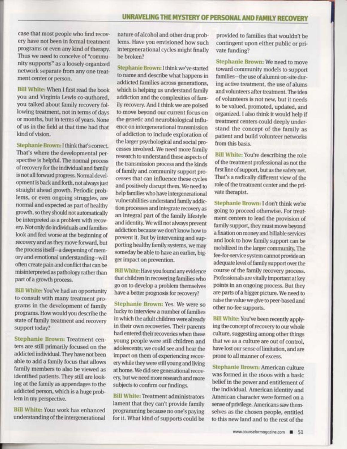case that most people who find recovery have not been in formal treatment programs or even any kind of therapy. Thus we need to conceive of "community supports" as a loosely organized network separate from any one treatment center or person.

Bill White: \Mhen I first read the book you and Virginia Lewis co-authored, you talked about family recovery following treatment, not in terms of days or months, but in terms of years. None of us in the field at that time had that kind of vision.

Stephanie Brown: I think that's correct. That's where the developmental perspective is helpful. The normal process of recovery for the individual and family is not all forward progress. Normal development is back and forth, not always just straight ahead growth. Periodic problems, or even ongoing struggles, are normal and expected as part of healthy growth, so they should not automatically be interpreted as a problem with recovery. Not only do individuals and families look and feel worse at the beginning of recovery and as they move forward, but the process itself-a deepening of memory and emotional understanding-will often create pain and conflict that can be misinterpreted as pathology rather than part of a growth process.

Bill White: You've had an opportunity to consult with many treatment programs in the development of family programs. How would you describe the state of family treatment and recovery support today?

Stephanie Brown: Treatment centers are still primarily focused on the addicted individual. They have not been able to add a family focus that allows family members to also be viewed as identified patients. They still are looking at the family as appendages to the addicted person, which is a huge problem in my perspective.

Bill White: Your work has enhanced understanding of the intergenerational nature of alcohol and other drug problems. Have you envisioned how such intergenerational cycles might finally be broken?

Stephanie Brown: I thinkwe've started to name and describe what happens in addicted families across generations, which is helping us understand family addiction and the complexities of family recovery. And I think we are poised to move beyond our current focus on the genetic and neurobiological influence on intergenerational transmission of addiction to include exploration of the larger psychological and social processes involved. We need more family research to understand these aspects of the transmission process and the kinds of family and community support processes that can influence these cycles and positively disrupt them. We need to help families who have intergenerational wlnerabilities understand family addiction processes and integrate recovery as an integral part of the family lifestyle and identity. We will not always prevent addiction because we don't know how to prevent it. But by intervening and supporting healthy family systems, we may someday be able to have an earlier, bigger impact on prevention.

BiIl White: Have you found any evidence that children in recovering families who go on to develop a problem themselves have a better prognosis for recovery?

Stephanie Brown: Yes. We were so lucky to interview a number of families in which the adult children were already in their own recoveries. Their parents had entered their recoveries when these young people were still children and adolescents; we could see and hear the impact on them of experiencing recovery while they were still young and living at home. We did see generational recovery, but we need more research and more subjects to confirm our findings.

Bill White: Treatment administrators lament that they can't provide family programming because no one's paying for it. What kind of supports could be

provided to families that wouldn't be contingent upon either public or private funding?

Stephanie Brown: We need to move toward community models to support families-the use of alumni on-site during active treatment, the use of alums and volunteers after treatment. The idea of volunteers is not new, but it needs to be valued, promoted, updated, and organized. I also think it would help if treatment centers could deeply understand the concept of the family as patient and build volunteer networks from this basis.

Bill White: You're describing the role of the treatment professional as not the first line of support, but as the safety net. That's a radically different view of the role of the treatment center and the private therapist.

Stephanie Brown: I don't think we're going to proceed otherwise. For treatment centers to lead the provision of family support, they must move beyond a fixation on money and billable services and look to how family support can be mobilized in the larger community. The fee-for-service system cannot provide an adequate level of family support over the course of the family recovery process. Professionals are vitally important at key points in an ongoing process. But they are parts of a bigger picture. We need to raise thevaluewe give to peer-based and other no-fee supports.

Bill White: You've been recenfly applying the concept of recovery to our whole culture, suggesting among other things that we as a culture are out of control, have lost our sense of limitation, and are prone to all manner of excess.

Stephanie Brown: American culture was formed in the r6oos with a basic belief in the power and entitlement of the individual. American identity and American character were formed on a sense of privilege. Americans sawthemselves as the chosen people, entitled to this new land and to the rest of the